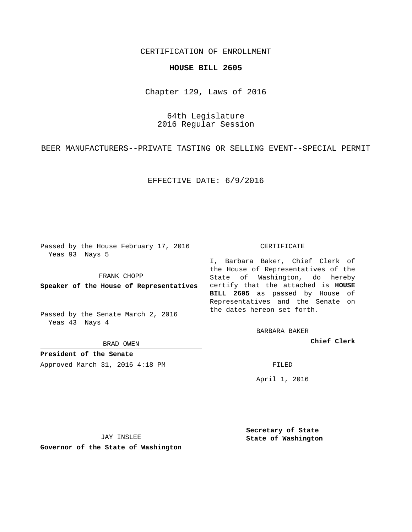## CERTIFICATION OF ENROLLMENT

## **HOUSE BILL 2605**

Chapter 129, Laws of 2016

64th Legislature 2016 Regular Session

BEER MANUFACTURERS--PRIVATE TASTING OR SELLING EVENT--SPECIAL PERMIT

EFFECTIVE DATE: 6/9/2016

Passed by the House February 17, 2016 Yeas 93 Nays 5

FRANK CHOPP

Passed by the Senate March 2, 2016 Yeas 43 Nays 4

BRAD OWEN

**President of the Senate**

Approved March 31, 2016 4:18 PM FILED

## CERTIFICATE

**Speaker of the House of Representatives** certify that the attached is **HOUSE** I, Barbara Baker, Chief Clerk of the House of Representatives of the State of Washington, do hereby **BILL 2605** as passed by House of Representatives and the Senate on the dates hereon set forth.

BARBARA BAKER

**Chief Clerk**

April 1, 2016

JAY INSLEE

**Governor of the State of Washington**

**Secretary of State State of Washington**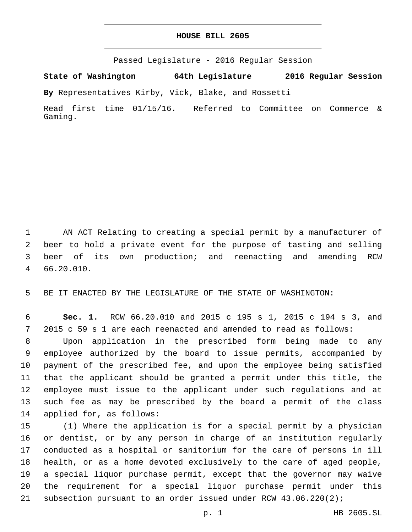## **HOUSE BILL 2605**

Passed Legislature - 2016 Regular Session

**State of Washington 64th Legislature 2016 Regular Session**

**By** Representatives Kirby, Vick, Blake, and Rossetti

Read first time 01/15/16. Referred to Committee on Commerce & Gaming.

 AN ACT Relating to creating a special permit by a manufacturer of beer to hold a private event for the purpose of tasting and selling beer of its own production; and reenacting and amending RCW 66.20.010.4

BE IT ENACTED BY THE LEGISLATURE OF THE STATE OF WASHINGTON:

 **Sec. 1.** RCW 66.20.010 and 2015 c 195 s 1, 2015 c 194 s 3, and 2015 c 59 s 1 are each reenacted and amended to read as follows:

 Upon application in the prescribed form being made to any employee authorized by the board to issue permits, accompanied by payment of the prescribed fee, and upon the employee being satisfied that the applicant should be granted a permit under this title, the employee must issue to the applicant under such regulations and at such fee as may be prescribed by the board a permit of the class 14 applied for, as follows:

 (1) Where the application is for a special permit by a physician or dentist, or by any person in charge of an institution regularly conducted as a hospital or sanitorium for the care of persons in ill health, or as a home devoted exclusively to the care of aged people, a special liquor purchase permit, except that the governor may waive the requirement for a special liquor purchase permit under this subsection pursuant to an order issued under RCW 43.06.220(2);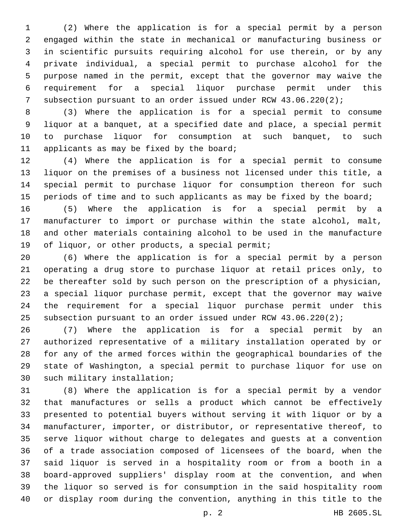(2) Where the application is for a special permit by a person engaged within the state in mechanical or manufacturing business or in scientific pursuits requiring alcohol for use therein, or by any private individual, a special permit to purchase alcohol for the purpose named in the permit, except that the governor may waive the requirement for a special liquor purchase permit under this subsection pursuant to an order issued under RCW 43.06.220(2);

 (3) Where the application is for a special permit to consume liquor at a banquet, at a specified date and place, a special permit to purchase liquor for consumption at such banquet, to such 11 applicants as may be fixed by the board;

 (4) Where the application is for a special permit to consume liquor on the premises of a business not licensed under this title, a special permit to purchase liquor for consumption thereon for such 15 periods of time and to such applicants as may be fixed by the board;

 (5) Where the application is for a special permit by a manufacturer to import or purchase within the state alcohol, malt, and other materials containing alcohol to be used in the manufacture 19 of liquor, or other products, a special permit;

 (6) Where the application is for a special permit by a person operating a drug store to purchase liquor at retail prices only, to be thereafter sold by such person on the prescription of a physician, a special liquor purchase permit, except that the governor may waive the requirement for a special liquor purchase permit under this subsection pursuant to an order issued under RCW 43.06.220(2);

 (7) Where the application is for a special permit by an authorized representative of a military installation operated by or for any of the armed forces within the geographical boundaries of the state of Washington, a special permit to purchase liquor for use on 30 such military installation;

 (8) Where the application is for a special permit by a vendor that manufactures or sells a product which cannot be effectively presented to potential buyers without serving it with liquor or by a manufacturer, importer, or distributor, or representative thereof, to serve liquor without charge to delegates and guests at a convention of a trade association composed of licensees of the board, when the said liquor is served in a hospitality room or from a booth in a board-approved suppliers' display room at the convention, and when the liquor so served is for consumption in the said hospitality room or display room during the convention, anything in this title to the

p. 2 HB 2605.SL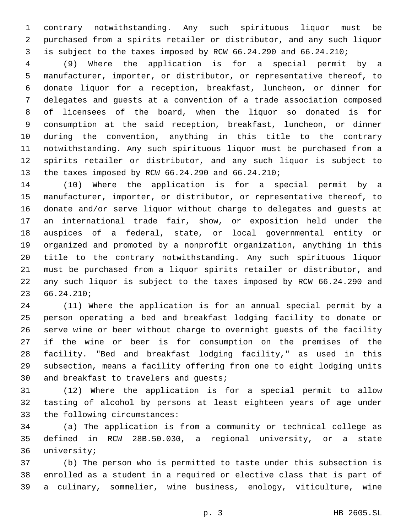contrary notwithstanding. Any such spirituous liquor must be purchased from a spirits retailer or distributor, and any such liquor is subject to the taxes imposed by RCW 66.24.290 and 66.24.210;

 (9) Where the application is for a special permit by a manufacturer, importer, or distributor, or representative thereof, to donate liquor for a reception, breakfast, luncheon, or dinner for delegates and guests at a convention of a trade association composed of licensees of the board, when the liquor so donated is for consumption at the said reception, breakfast, luncheon, or dinner during the convention, anything in this title to the contrary notwithstanding. Any such spirituous liquor must be purchased from a spirits retailer or distributor, and any such liquor is subject to 13 the taxes imposed by RCW 66.24.290 and 66.24.210;

 (10) Where the application is for a special permit by a manufacturer, importer, or distributor, or representative thereof, to donate and/or serve liquor without charge to delegates and guests at an international trade fair, show, or exposition held under the auspices of a federal, state, or local governmental entity or organized and promoted by a nonprofit organization, anything in this title to the contrary notwithstanding. Any such spirituous liquor must be purchased from a liquor spirits retailer or distributor, and any such liquor is subject to the taxes imposed by RCW 66.24.290 and 66.24.210;23

 (11) Where the application is for an annual special permit by a person operating a bed and breakfast lodging facility to donate or serve wine or beer without charge to overnight guests of the facility if the wine or beer is for consumption on the premises of the facility. "Bed and breakfast lodging facility," as used in this subsection, means a facility offering from one to eight lodging units 30 and breakfast to travelers and guests;

 (12) Where the application is for a special permit to allow tasting of alcohol by persons at least eighteen years of age under 33 the following circumstances:

 (a) The application is from a community or technical college as defined in RCW 28B.50.030, a regional university, or a state 36 university;

 (b) The person who is permitted to taste under this subsection is enrolled as a student in a required or elective class that is part of a culinary, sommelier, wine business, enology, viticulture, wine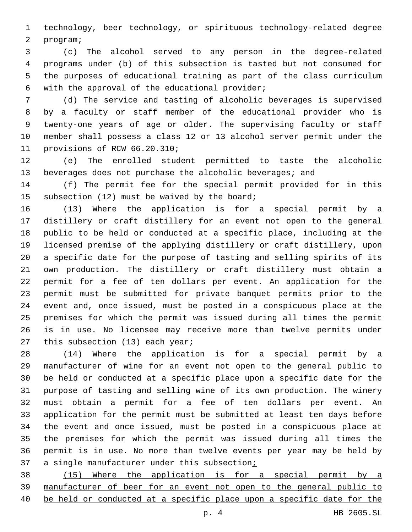technology, beer technology, or spirituous technology-related degree 2 program;

 (c) The alcohol served to any person in the degree-related programs under (b) of this subsection is tasted but not consumed for the purposes of educational training as part of the class curriculum 6 with the approval of the educational provider;

 (d) The service and tasting of alcoholic beverages is supervised by a faculty or staff member of the educational provider who is twenty-one years of age or older. The supervising faculty or staff member shall possess a class 12 or 13 alcohol server permit under the 11 provisions of RCW 66.20.310;

 (e) The enrolled student permitted to taste the alcoholic beverages does not purchase the alcoholic beverages; and

 (f) The permit fee for the special permit provided for in this 15 subsection (12) must be waived by the board;

 (13) Where the application is for a special permit by a distillery or craft distillery for an event not open to the general public to be held or conducted at a specific place, including at the licensed premise of the applying distillery or craft distillery, upon a specific date for the purpose of tasting and selling spirits of its own production. The distillery or craft distillery must obtain a permit for a fee of ten dollars per event. An application for the permit must be submitted for private banquet permits prior to the event and, once issued, must be posted in a conspicuous place at the premises for which the permit was issued during all times the permit is in use. No licensee may receive more than twelve permits under 27 this subsection (13) each year;

 (14) Where the application is for a special permit by a manufacturer of wine for an event not open to the general public to be held or conducted at a specific place upon a specific date for the purpose of tasting and selling wine of its own production. The winery must obtain a permit for a fee of ten dollars per event. An application for the permit must be submitted at least ten days before the event and once issued, must be posted in a conspicuous place at the premises for which the permit was issued during all times the permit is in use. No more than twelve events per year may be held by 37 a single manufacturer under this subsection;

 (15) Where the application is for a special permit by a manufacturer of beer for an event not open to the general public to be held or conducted at a specific place upon a specific date for the